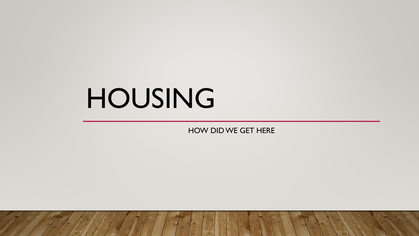# HOUSING

HOW DID WE GET HERE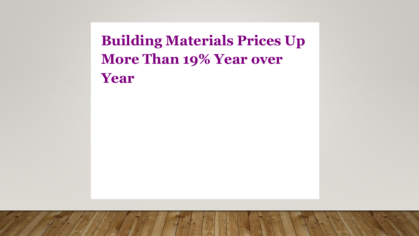**Building Materials Prices Up More Than 19% Year over Year**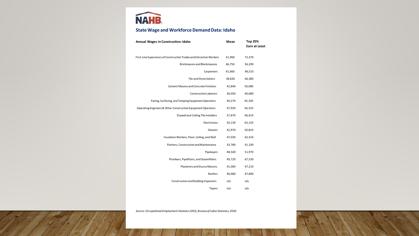

#### **State Wage and WorkforceDemandData: Idaho**

| <b>Annual Wages in Construction: Idaho</b>                           | Mean   | <b>Top 25%</b><br><b>Earn at Least</b> |
|----------------------------------------------------------------------|--------|----------------------------------------|
| First-Line Supervisors of Construction Trades and Extraction Workers | 61,960 | 72,370                                 |
| <b>Brickmasons and Blockmasons</b>                                   | 46,750 | 56,200                                 |
| Carpenters                                                           | 41,060 | 48,510                                 |
| <b>Tile and Stone Setters</b>                                        | 38,830 | 46,380                                 |
| Cement Masons and Concrete Finishers                                 | 42,840 | 50,080                                 |
| <b>Construction Laborers</b>                                         | 36,050 | 40,680                                 |
| Paving, Surfacing, and Tamping Equipment Operators                   | 40,270 | 45,330                                 |
| Operating Engineers & Other Construction Equipment Operators         | 47,920 | 56,310                                 |
| Drywall and Ceiling Tile Installers                                  | 37,870 | 46,410                                 |
| Electricians                                                         | 50,130 | 63,150                                 |
| Glaziers                                                             | 42,970 | 50,810                                 |
| Insulation Workers, Floor, Ceiling, and Wall                         | 47,030 | 62,410                                 |
| Painters, Construction and Maintenance                               | 33,780 | 41,100                                 |
| Pipelayers                                                           | 48,540 | 51,970                                 |
| Plumbers, Pipefitters, and Steamfitters                              | 49,720 | 67,530                                 |
| Plasterers and Stucco Masons                                         | 41,060 | 47,210                                 |
| Roofers                                                              | 40,980 | 47,890                                 |
| Construction and Building Inspectors                                 | n/a    | n/a                                    |
| Tapers                                                               | n/a    | n/a                                    |

*Source:Occupational Employment Statistics(OES), Bureauof Labor Statistics, 2020.*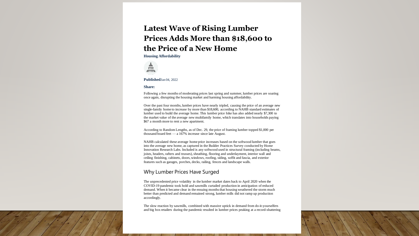## **Latest Wave of Rising Lumber Prices Adds More than \$18,600 to the Price of <sup>a</sup> New Home**

**Housing Affordability**



#### **Published**Jan 04, 2022

#### **Share:**

Following a few months of moderating prices last spring and summer, lumber prices are soaring once again, disrupting the housing market and harming housing affordability.

Over the past four months, lumber prices have nearly tripled, causing the price of an average new single-family home to increase by more than \$18,600, according to NAHB standard estimates of lumber used to build the average home. This lumber price hike has also added nearly \$7,300 to the market value of the average new multifamily home, which translates into households paying \$67 <sup>a</sup> month more to rent <sup>a</sup> new apartment.

According to Random Lengths, as of Dec. 29, the price of framing lumber topped \$1,000 per thousand board feet — <sup>a</sup> 167% increase since late August.

NAHB calculated these average home price increases based on the softwood lumber that goes into the average new home, as captured in the Builder Practices Survey conducted by Home Innovation Research Labs. Included is any softwood used in structural framing (including beams, joists, headers, rafters and trusses), sheathing, flooring and underlayment, interior wall and ceiling finishing, cabinets, doors, windows, roofing, siding, soffit and fascia, and exterior features such as garages, porches, decks, railing, fences and landscape walls.

#### Why Lumber Prices Have Surged

The unprecedented price volatility in the lumber market dates back to April 2020 when the COVID-19 pandemic took hold and sawmills curtailed production in anticipation of reduced demand. When it became clear in the ensuing months that housing weathered the storm much better than predicted and demand remained strong, lumber mills did not ramp up production accordingly.

The slow reaction by sawmills, combined with massive uptick in demand from do-it-yourselfers and big box retailers during the pandemic resulted in lumber prices peaking at <sup>a</sup> record-shattering



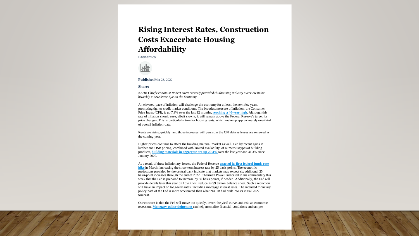## **Rising Interest Rates, Construction Costs Exacerbate Housing Affordability**

**Economics**



#### **Published**Mar 28, 2022

#### **Share:**

*NAHB Chief Economist Robert Dietzrecently provided this housing industry overview i n the biweekly e-newsletter Eye on the Economy.*

An elevated pace of inflation will challenge the economy for at least the next few years, prompting tighter credit market conditions. The broadest measure of inflation, the Consumer Price Index (CPI), is up 7.9% over the last 12 months, **reaching a 40-year high**. Although this rate of inflation should ease, albeit slowly, it will remain above the Federal Reserve's target for price changes. This is particularly true for housing rents, which make up approximately one-third of overall inflation data.

Rents are rising quickly, and those increases will persist in the CPI data as leases are renewed in the coming year.

Higher prices continue to affect the building material market as well. Led by recent gains in lumber and OSB pricing, combined with limited availability of numeroustypes of building products, **building materials in aggregate are up 20.4%**over the last year and 31.3% since January 2020.

As <sup>a</sup> result of these inflationary forces, the Federal Reserve **enacted its first federal funds rate hike** in March, increasing the short-term interest rate by 25 basis points. The economic projections provided by the central bank indicate that markets may expect six additional 25 basis-point increases through the end of 2022. Chairman Powell indicated in his commentary this week that the Fed is prepared to increase by 50 basis points, if needed. Additionally, the Fed will provide details later this year on how it will reduce its \$9 trillion balance sheet. Such <sup>a</sup> reduction will have an impact on long-term rates, including mortgage interest rates. The intended monetary policy path of the Fed is more accelerated than what NAHB had built into its initial 2022 forecast.

Our concern is that the Fed will move too quickly, invert the yield curve, and risk an economic recession. **Monetary policy tightening** can help normalize financial conditions and tamper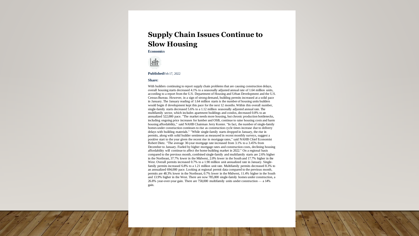### **Supply Chain Issues Continue to Slow Housing**

**Economics**



#### **Published**Feb 17, 2022

#### **Share:**

With builders continuing to report supply chain problems that are causing construction delays, overall housing starts decreased 4.1% to <sup>a</sup> seasonally adjusted annual rate of 1.64 million units, according to a report from the U.S. Department of Housing and Urban Development and the U.S. Census Bureau. However, in <sup>a</sup> sign of strong demand, building permits increased at a solid pace in January. The January reading of 1.64 million starts is the number of housing units builders would begin if development kept this pace for the next 12 months.Within this overall number, single-family starts decreased 5.6% to a 1.12 million seasonally adjusted annual rate. The multifamily sector, which includes apartment buildings and condos, decreased 0.8% to an annualized 522,000 pace. "The market needs more housing, but chronic production bottlenecks, including ongoing price increases for lumber and OSB, continue to raise housing costs and harm housing affordability," said NAHB Chairman Jerry Konter. "In fact, the number of single-family homes under construction continues to rise as construction cycle times increase due to delivery delays with building materials." "While single-family starts dropped in January, the rise in permits, along with solid builder sentiment as measured in recent monthly surveys, sugges<sup>t</sup> <sup>a</sup> positive start to the year given the recent rise in mortgage rates," said NAHB Chief Economist Robert Dietz. "The average 30-year mortgage rate increased from 3.1% to a 3.45% from December to January. Fueled by higher mortgage rates and construction costs, declining housing affordability will continue to affect the home building market in 2022." On <sup>a</sup> regional basis compared to the previous month, combined single-family and multifamily starts are 2.6% higher in the Northeast, 37.7% lower in the Midwest, 2.0% lower in the South and 17.7% higher in the West. Overall permits increased 0.7% to a 1.90 million unit annualized rate in January. Singlefamily permits increased 6.8% to a 1.21 million unit rate. Multifamily permits decreased 8.3% to an annualized 694,000 pace. Looking at regional permit data compared to the previous month, permits are 48.3% lower in the Northeast, 0.7% lower in the Midwest, 11.4% higher in the South and 13.9% higher in the West. There are now 785,000 single-family homes under construction, a 26.8% year-over-year gain. There are 758,000 multifamily units under construction — <sup>a</sup> 14% gain.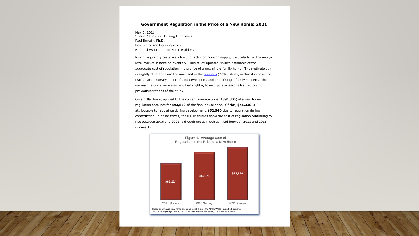#### **Government Regulation in the Price of <sup>a</sup> New Home: 2021**

May 5, 2021 Special Study for Housing Economics Paul Emrath, Ph.D. Economics and Housing Policy National Association of Home Builders

Rising regulatory costs are <sup>a</sup> limiting factor on housing supply, particularly for the entrylevel market in need of inventory. This study updates NAHB's estimates of the aggregate cost of regulation in the price of <sup>a</sup> new single-family home. The methodology is slightly different from the one used in the *previous* (2016) study, in that it is based on two separate surveys—one of land developers, and one of single-family builders. The survey questions were also modified slightly, to incorporate lessons learned during previous iterations of the study.

On <sup>a</sup> dollar basis, applied to the current average price (\$394,300) of <sup>a</sup> new home, regulation accounts for **\$93,870** of the final house price. Of this, **\$41,330** is attributable to regulation during development, **\$52,540** due to regulation during construction. In dollar terms, the NAHB studies show the cost of regulation continuing to rise between 2016 and 2021, although not as much as it did between 2011 and 2016 (Figure 1).

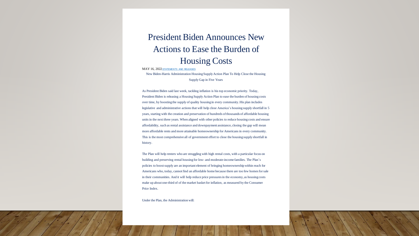## President Biden Announces New Actions to Ease the Burden of Housing Costs

MAY 16, 2022•STATEMENTS AND RELEASES New Biden-Harris Administration Housing SupplyAction Plan To Help Close the Housing Supply Gap in Five Years

As President Biden said last week, tackling inflation is his top economic priority. Today, President Biden is releasing <sup>a</sup> Housing Supply Action Plan to ease the burden of housing costs over time, by boosting the supply of quality housing in every community.His plan includes legislative and administrative actions that will help close America's housing supply shortfall in 5 years, starting with the creation and preservation of hundreds of thousands of affordable housing units in the next three years. When aligned with other policies to reduce housing costs and ensure affordability, such as rental assistance and downpayment assistance, closing the gap will mean more affordable rents and more attainable homeownership for Americans in every community. This is the most comprehensive all of governmen<sup>t</sup> effort to close the housing supply shortfall in history.

The Plan will help renters who are struggling with high rental costs, with <sup>a</sup> particular focus on building and preserving rental housing for low- and moderate-income families. The Plan's policies to boost supply are an important element of bringing homeownership within reach for Americans who, today, cannot find an affordable home because there are too few homes for sale in their communities. And it will help reduce price pressuresin the economy, as housing costs make up about one-third of of the market basketfor inflation, as measured by the Consumer Price Index.

Under the Plan, the Administration will: